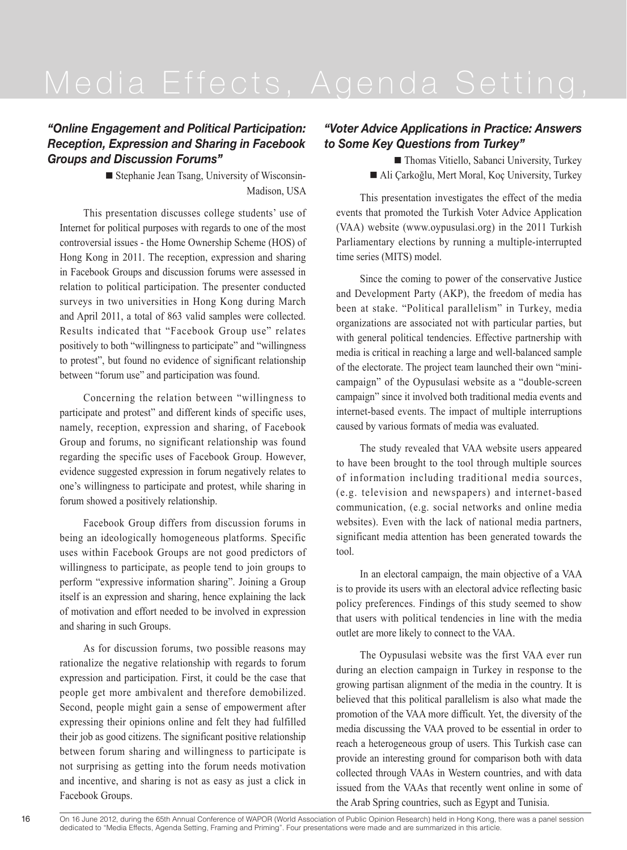### *"Online Engagement and Political Participation: Reception, Expression and Sharing in Facebook Groups and Discussion Forums"*

■ Stephanie Jean Tsang, University of Wisconsin-Madison, USA

This presentation discusses college students' use of Internet for political purposes with regards to one of the most controversial issues - the Home Ownership Scheme (HOS) of Hong Kong in 2011. The reception, expression and sharing in Facebook Groups and discussion forums were assessed in relation to political participation. The presenter conducted surveys in two universities in Hong Kong during March and April 2011, a total of 863 valid samples were collected. Results indicated that "Facebook Group use" relates positively to both "willingness to participate" and "willingness to protest", but found no evidence of significant relationship between "forum use" and participation was found.

Concerning the relation between "willingness to participate and protest" and different kinds of specific uses, namely, reception, expression and sharing, of Facebook Group and forums, no significant relationship was found regarding the specific uses of Facebook Group. However, evidence suggested expression in forum negatively relates to one's willingness to participate and protest, while sharing in forum showed a positively relationship.

Facebook Group differs from discussion forums in being an ideologically homogeneous platforms. Specific uses within Facebook Groups are not good predictors of willingness to participate, as people tend to join groups to perform "expressive information sharing". Joining a Group itself is an expression and sharing, hence explaining the lack of motivation and effort needed to be involved in expression and sharing in such Groups.

As for discussion forums, two possible reasons may rationalize the negative relationship with regards to forum expression and participation. First, it could be the case that people get more ambivalent and therefore demobilized. Second, people might gain a sense of empowerment after expressing their opinions online and felt they had fulfilled their job as good citizens. The significant positive relationship between forum sharing and willingness to participate is not surprising as getting into the forum needs motivation and incentive, and sharing is not as easy as just a click in Facebook Groups.

### *"Voter Advice Applications in Practice: Answers to Some Key Questions from Turkey"*

■ Thomas Vitiello, Sabanci University, Turkey ■ Ali Çarkoğlu, Mert Moral, Koç University, Turkey

This presentation investigates the effect of the media events that promoted the Turkish Voter Advice Application (VAA) website (www.oypusulasi.org) in the 2011 Turkish Parliamentary elections by running a multiple-interrupted time series (MITS) model.

Since the coming to power of the conservative Justice and Development Party (AKP), the freedom of media has been at stake. "Political parallelism" in Turkey, media organizations are associated not with particular parties, but with general political tendencies. Effective partnership with media is critical in reaching a large and well-balanced sample of the electorate. The project team launched their own "minicampaign" of the Oypusulasi website as a "double-screen campaign" since it involved both traditional media events and internet-based events. The impact of multiple interruptions caused by various formats of media was evaluated.

The study revealed that VAA website users appeared to have been brought to the tool through multiple sources of information including traditional media sources, (e.g. television and newspapers) and internet-based communication, (e.g. social networks and online media websites). Even with the lack of national media partners, significant media attention has been generated towards the tool.

In an electoral campaign, the main objective of a VAA is to provide its users with an electoral advice reflecting basic policy preferences. Findings of this study seemed to show that users with political tendencies in line with the media outlet are more likely to connect to the VAA.

The Oypusulasi website was the first VAA ever run during an election campaign in Turkey in response to the growing partisan alignment of the media in the country. It is believed that this political parallelism is also what made the promotion of the VAA more difficult. Yet, the diversity of the media discussing the VAA proved to be essential in order to reach a heterogeneous group of users. This Turkish case can provide an interesting ground for comparison both with data collected through VAAs in Western countries, and with data issued from the VAAs that recently went online in some of the Arab Spring countries, such as Egypt and Tunisia.

On 16 June 2012, during the 65th Annual Conference of WAPOR (World Association of Public Opinion Research) held in Hong Kong, there was a panel session dedicated to "Media Effects, Agenda Setting, Framing and Priming". Four presentations were made and are summarized in this article.